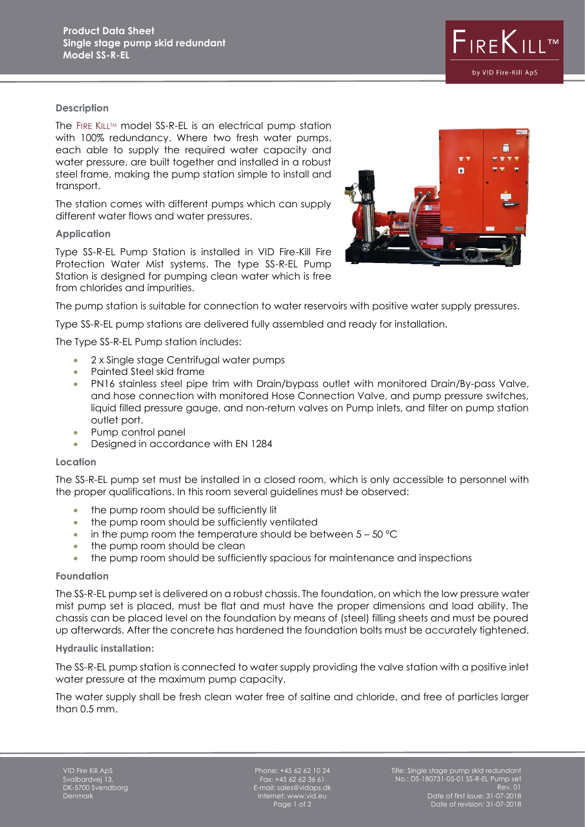

## **Description**

The FIRE KILL™ model SS-R-EL is an electrical pump station with 100% redundancy. Where two fresh water pumps, each able to supply the required water capacity and water pressure, are built together and installed in a robust steel frame, making the pump station simple to install and transport.

The station comes with different pumps which can supply different water flows and water pressures.

## **Application**

Type SS-R-EL Pump Station is installed in VID Fire-Kill Fire Protection Water Mist systems. The type SS-R-EL Pump Station is designed for pumping clean water which is free from chlorides and impurities.



The pump station is suitable for connection to water reservoirs with positive water supply pressures.

Type SS-R-EL pump stations are delivered fully assembled and ready for installation.

The Type SS-R-EL Pump station includes:

- 2 x Single stage Centrifugal water pumps
- Painted Steel skid frame
- PN16 stainless steel pipe trim with Drain/bypass outlet with monitored Drain/By-pass Valve, and hose connection with monitored Hose Connection Valve, and pump pressure switches, liquid filled pressure gauge, and non-return valves on Pump inlets, and filter on pump station outlet port.
- Pump control panel
- Designed in accordance with EN 1284

#### **Location**

The SS-R-EL pump set must be installed in a closed room, which is only accessible to personnel with the proper qualifications. In this room several guidelines must be observed:

- the pump room should be sufficiently lit
- the pump room should be sufficiently ventilated
- $\bullet$  in the pump room the temperature should be between  $5 50$  °C
- the pump room should be clean
- the pump room should be sufficiently spacious for maintenance and inspections

#### **Foundation**

The SS-R-EL pump set is delivered on a robust chassis. The foundation, on which the low pressure water mist pump set is placed, must be flat and must have the proper dimensions and load ability. The chassis can be placed level on the foundation by means of (steel) filling sheets and must be poured up afterwards. After the concrete has hardened the foundation bolts must be accurately tightened.

#### **Hydraulic installation:**

The SS-R-EL pump station is connected to water supply providing the valve station with a positive inlet water pressure at the maximum pump capacity.

The water supply shall be fresh clean water free of saltine and chloride, and free of particles larger than 0.5 mm.

Phone: +45 62 62 10 24 Fax: +45 62 62 36 61 E-mail: sales@vidaps.dk Internet: www.vid.eu Page 1 of 2